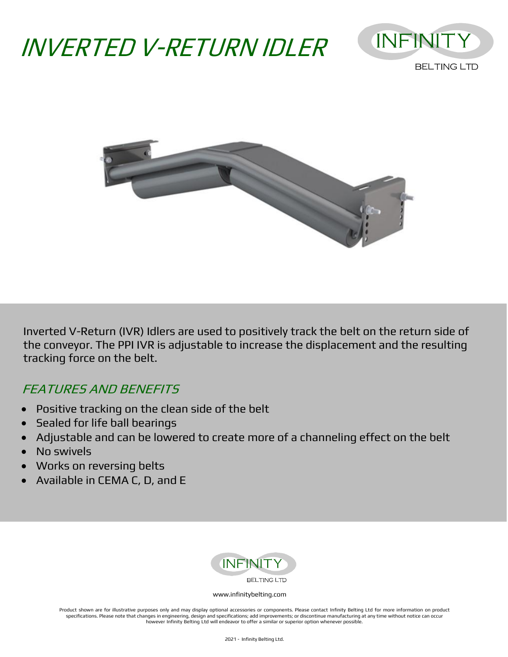# INVERTED V-RETURN IDLER





Inverted V-Return (IVR) Idlers are used to positively track the belt on the return side of the conveyor. The PPI IVR is adjustable to increase the displacement and the resulting tracking force on the belt.

## FEATURES AND BENEFITS

- Positive tracking on the clean side of the belt
- Sealed for life ball bearings
- Adjustable and can be lowered to create more of a channeling effect on the belt
- No swivels
- Works on reversing belts
- Available in CEMA C, D, and E



#### [www.infinitybelting.com](http://www.infinitybelting.com/)

Product shown are for illustrative purposes only and may display optional accessories or components. Please contact Infinity Belting Ltd for more information on product specifications. Please note that changes in engineering, design and specifications; add improvements; or discontinue manufacturing at any time without notice can occur however Infinity Belting Ltd will endeavor to offer a similar or superior option whenever possible